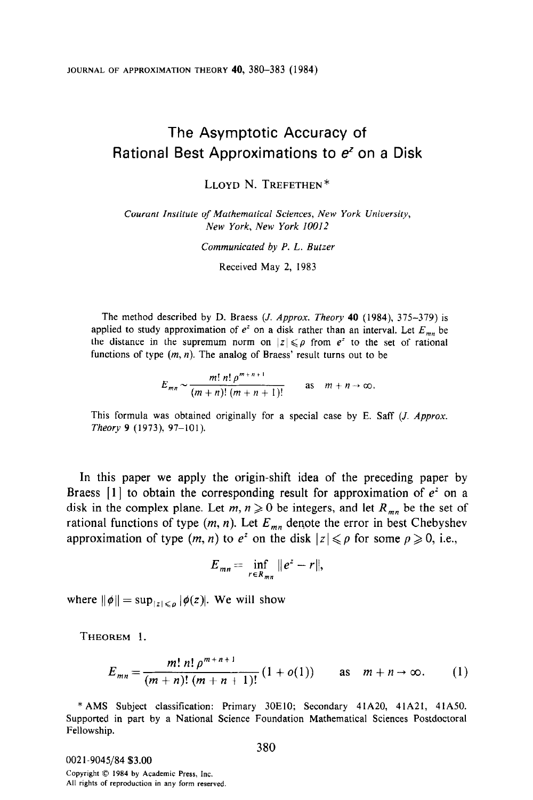JOURNAL OF APPROXIMATION THEORY 40, 380-383 (1984)

## The Asymptotic Accuracy of Rational Best Approximations to  $e<sup>z</sup>$  on a Disk

LLOYD N. TREFETHEN\*

Courant Institute of Mathematical Sciences, New York University, New York, New York 10012

Communicated by P. L. Butzer

Received May 2, 1983

The method described by D. Braess (*J. Approx. Theory* 40 (1984), 375-379) is applied to study approximation of  $e^z$  on a disk rather than an interval. Let  $E_{mn}$  be the distance in the supremum norm on  $|z| \leq \rho$  from  $e^z$  to the set of rational functions of type  $(m, n)$ . The analog of Braess' result turns out to be

$$
E_{mn} \sim \frac{m! \; n! \; \rho^{m+n+1}}{(m+n)! \; (m+n+1)!} \qquad \text{as} \quad m+n \to \infty.
$$

This formula was obtained originally for a special case by E. Saff (*J. Approx.* Theory 9 (1973), 97-101).

In this paper we apply the origin-shift idea of the preceding paper by Braess [1] to obtain the corresponding result for approximation of  $e^z$  on a disk in the complex plane. Let  $m, n \geq 0$  be integers, and let  $R_{mn}$  be the set of rational functions of type  $(m, n)$ . Let  $E_{mn}$  denote the error in best Chebyshev approximation of type  $(m, n)$  to  $e^z$  on the disk  $|z| \leq \rho$  for some  $\rho \geq 0$ , i.e.,

$$
E_{mn}=\inf_{r\in R_{mn}}\|e^z-r\|,
$$

where  $\|\phi\| = \sup_{|z| \leq \rho} |\phi(z)|$ . We will show

THEOREM 1.

$$
E_{mn} = \frac{m! \; n! \; \rho^{m+n+1}}{(m+n)! \; (m+n+1)!} \left(1 + o(1)\right) \qquad \text{as} \quad m+n \to \infty. \tag{1}
$$

\* AMS Subject classification: Primary 30ElO; Secondary 41A20, 4 lA21, 41A50. Supported in part by a National Science Foundation Mathematical Sciences Postdoctoral Fellowship.

0021.9045/84 \$3.00 Copyright  $©$  1984 by Academic Press, Inc. All rights of reproduction in any form reserved.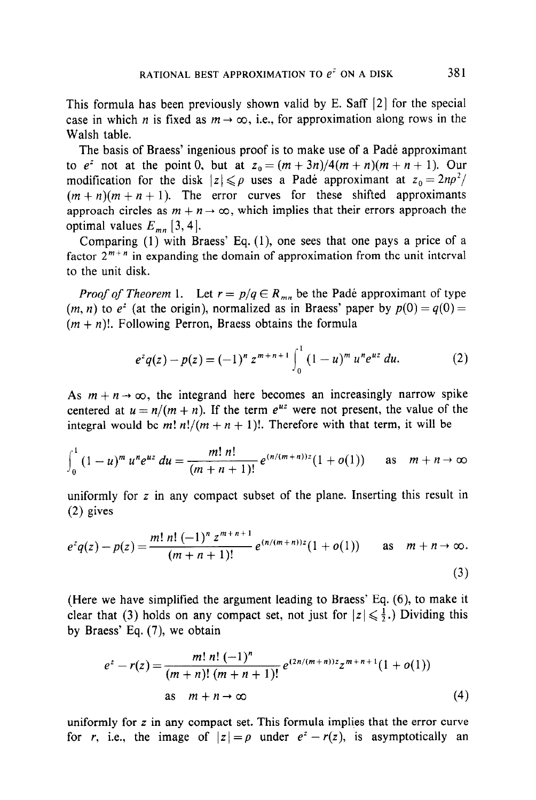This formula has been previously shown valid by E. Saff [2] for the special case in which *n* is fixed as  $m \to \infty$ , i.e., for approximation along rows in the Walsh table.

The basis of Braess' ingenious proof is to make use of a Pade approximant to  $e^z$  not at the point 0, but at  $z_0 = (m + 3n)/4(m + n)(m + n + 1)$ . Our modification for the disk  $|z| \leq \rho$  uses a Pade approximant at  $z_0 = 2n\rho^2$ /  $(m + n)(m + n + 1)$ . The error curves for these shifted approximants approach circles as  $m + n \rightarrow \infty$ , which implies that their errors approach the optimal values  $E_{mn}$  [3, 4].

Comparing (1) with Braess' Eq. (l), one sees that one pays a price of a factor  $2^{m+n}$  in expanding the domain of approximation from the unit interval to the unit disk.

*Proof of Theorem* 1. Let  $r = p/q \in R_{mn}$  be the Padé approximant of type  $(m, n)$  to  $e^z$  (at the origin), normalized as in Braess' paper by  $p(0) = q(0) =$  $(m + n)!$ . Following Perron, Braess obtains the formula

$$
e^{z}q(z)-p(z)=(-1)^{n} z^{m+n+1}\int_{0}^{1} (1-u)^{m} u^{n} e^{uz} du.
$$
 (2)

As  $m + n \rightarrow \infty$ , the integrand here becomes an increasingly narrow spike centered at  $u = n/(m + n)$ . If the term  $e^{uz}$  were not present, the value of the integral would be m!  $n!/(m + n + 1)!$ . Therefore with that term, it will be

$$
\int_0^1 (1-u)^m u^n e^{uz} du = \frac{m! \ n!}{(m+n+1)!} e^{(n/(m+n))z} (1+o(1)) \quad \text{as} \quad m+n \to \infty
$$

uniformly for z in any compact subset of the plane. Inserting this result in (2) gives

$$
e^{z}q(z)-p(z)=\frac{m! \; n! \; (-1)^{n} \; z^{m+n+1}}{(m+n+1)!} \, e^{(n/(m+n))z}(1+o(1)) \qquad \text{as} \quad m+n\to\infty.
$$
\n(3)

(Here we have simplified the argument leading to Braess' Eq. (6), to make it clear that (3) holds on any compact set, not just for  $|z| \leq \frac{1}{2}$ .) Dividing this by Braess' Eq. (7), we obtain

$$
e^{z} - r(z) = \frac{m! \; n! \; (-1)^{n}}{(m+n)! \; (m+n+1)!} \, e^{(2n/(m+n))z} z^{m+n+1} (1+o(1))
$$
\n
$$
\text{as } m+n \to \infty \tag{4}
$$

uniformly for z in any compact set. This formula implies that the error curve for r, i.e., the image of  $|z| = \rho$  under  $e^z - r(z)$ , is asymptotically an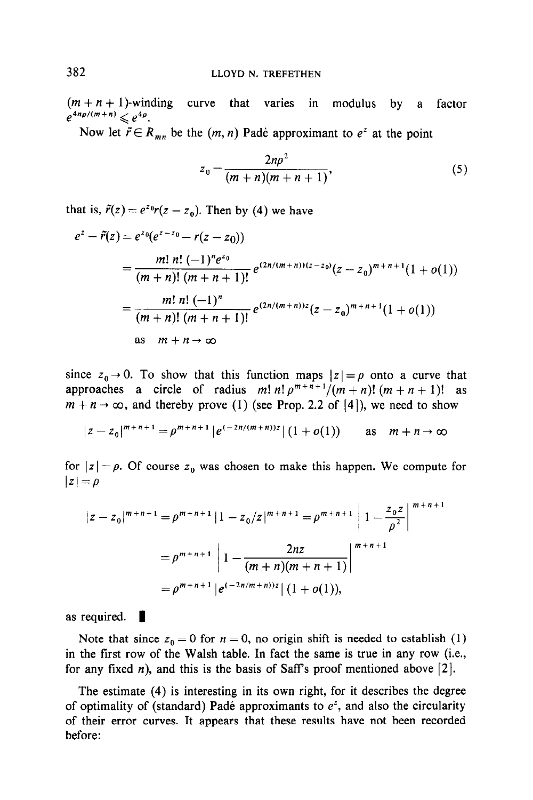$(m+n+1)$ -winding curve that varies in modulus by a factor  $e^{4n\rho/(m+n)} \le e^{4\rho}.$ 

Now let  $\tilde{r} \in R_{mn}$  be the  $(m, n)$  Padé approximant to  $e^z$  at the point

$$
z_0 = \frac{2np^2}{(m+n)(m+n+1)},
$$
\n(5)

that is,  $\tilde{r}(z) = e^{z_0}r(z - z_0)$ . Then by (4) we have

$$
e^{z} - \tilde{r}(z) = e^{z_0}(e^{z-z_0} - r(z-z_0))
$$
  
= 
$$
\frac{m! \; n! \; (-1)^{n} e^{z_0}}{(m+n)! \; (m+n+1)!} e^{(2n/(m+n))(z-z_0)}(z-z_0)^{m+n+1}(1+o(1))
$$
  
= 
$$
\frac{m! \; n! \; (-1)^{n}}{(m+n)! \; (m+n+1)!} e^{(2n/(m+n))z}(z-z_0)^{m+n+1}(1+o(1))
$$
  
as  $m+n \to \infty$ 

since  $z_0 \rightarrow 0$ . To show that this function maps  $|z| = \rho$  onto a curve that approaches a circle of radius  $m! n! p^{m+n+1}/(m+n)! (m+n+1)!$  as  $m + n \rightarrow \infty$ , and thereby prove (1) (see Prop. 2.2 of [4]), we need to show

$$
|z-z_0|^{m+n+1} = \rho^{m+n+1} |e^{(-2n/(m+n))z}| (1+o(1)) \quad \text{as} \quad m+n \to \infty
$$

for  $|z| = \rho$ . Of course  $z_0$  was chosen to make this happen. We compute for  $|z|=\rho$ 

$$
|z - z_0|^{m+n+1} = \rho^{m+n+1} |1 - z_0/z|^{m+n+1} = \rho^{m+n+1} \left| 1 - \frac{z_0 z}{\rho^2} \right|^{m+n+1}
$$
  
=  $\rho^{m+n+1} \left| 1 - \frac{2nz}{(m+n)(m+n+1)} \right|^{m+n+1}$   
=  $\rho^{m+n+1} |e^{(-2n/m+n)/z}| (1+o(1)),$ 

as required.  $\blacksquare$ 

Note that since  $z_0 = 0$  for  $n = 0$ , no origin shift is needed to establish (1) in the first row of the Walsh table. In fact the same is true in any row (i.e., for any fixed *n*), and this is the basis of Saff's proof mentioned above [2].

The estimate (4) is interesting in its own right, for it describes the degree of optimality of (standard) Padé approximants to  $e^z$ , and also the circularity of their error curves. It appears that these results have not been recorded before: